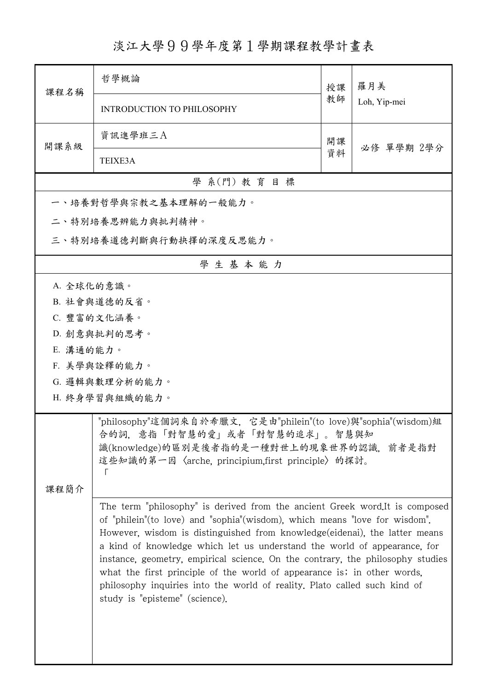## 淡江大學99學年度第1學期課程教學計畫表

| 課程名稱                                                                                                                                                                                                 | 哲學概論                                                                                                                                                                                                                                                                                                                                                                                                                                                                                                                                                                                               | 授課 | 羅月美<br>Loh, Yip-mei |  |  |  |
|------------------------------------------------------------------------------------------------------------------------------------------------------------------------------------------------------|----------------------------------------------------------------------------------------------------------------------------------------------------------------------------------------------------------------------------------------------------------------------------------------------------------------------------------------------------------------------------------------------------------------------------------------------------------------------------------------------------------------------------------------------------------------------------------------------------|----|---------------------|--|--|--|
|                                                                                                                                                                                                      | <b>INTRODUCTION TO PHILOSOPHY</b>                                                                                                                                                                                                                                                                                                                                                                                                                                                                                                                                                                  | 教師 |                     |  |  |  |
| 開課系級                                                                                                                                                                                                 | 資訊進學班三A                                                                                                                                                                                                                                                                                                                                                                                                                                                                                                                                                                                            | 開課 | 必修 單學期 2學分          |  |  |  |
|                                                                                                                                                                                                      | TEIXE3A                                                                                                                                                                                                                                                                                                                                                                                                                                                                                                                                                                                            | 資料 |                     |  |  |  |
| 學 系(門) 教育目標                                                                                                                                                                                          |                                                                                                                                                                                                                                                                                                                                                                                                                                                                                                                                                                                                    |    |                     |  |  |  |
|                                                                                                                                                                                                      | 一、培養對哲學與宗教之基本理解的一般能力。                                                                                                                                                                                                                                                                                                                                                                                                                                                                                                                                                                              |    |                     |  |  |  |
|                                                                                                                                                                                                      | 二、特別培養思辨能力與批判精神。                                                                                                                                                                                                                                                                                                                                                                                                                                                                                                                                                                                   |    |                     |  |  |  |
| 三、特別培養道德判斷與行動抉擇的深度反思能力。                                                                                                                                                                              |                                                                                                                                                                                                                                                                                                                                                                                                                                                                                                                                                                                                    |    |                     |  |  |  |
| 學生基本能力                                                                                                                                                                                               |                                                                                                                                                                                                                                                                                                                                                                                                                                                                                                                                                                                                    |    |                     |  |  |  |
| A. 全球化的意識。                                                                                                                                                                                           |                                                                                                                                                                                                                                                                                                                                                                                                                                                                                                                                                                                                    |    |                     |  |  |  |
|                                                                                                                                                                                                      | B. 社會與道德的反省。                                                                                                                                                                                                                                                                                                                                                                                                                                                                                                                                                                                       |    |                     |  |  |  |
|                                                                                                                                                                                                      | C. 豐富的文化涵養。                                                                                                                                                                                                                                                                                                                                                                                                                                                                                                                                                                                        |    |                     |  |  |  |
|                                                                                                                                                                                                      | D. 創意與批判的思考。                                                                                                                                                                                                                                                                                                                                                                                                                                                                                                                                                                                       |    |                     |  |  |  |
| E. 溝通的能力。                                                                                                                                                                                            |                                                                                                                                                                                                                                                                                                                                                                                                                                                                                                                                                                                                    |    |                     |  |  |  |
|                                                                                                                                                                                                      | F. 美學與詮釋的能力。                                                                                                                                                                                                                                                                                                                                                                                                                                                                                                                                                                                       |    |                     |  |  |  |
|                                                                                                                                                                                                      | G. 邏輯與數理分析的能力。                                                                                                                                                                                                                                                                                                                                                                                                                                                                                                                                                                                     |    |                     |  |  |  |
| H. 終身學習與組織的能力。                                                                                                                                                                                       |                                                                                                                                                                                                                                                                                                                                                                                                                                                                                                                                                                                                    |    |                     |  |  |  |
| "philosophy"這個詞來自於希臘文,它是由"philein"(to love)與"sophia"(wisdom)組<br>合的詞,意指「對智慧的愛」或者「對智慧的追求」。智慧與知<br>識(knowledge)的區別是後者指的是一種對世上的現象世界的認識,前者是指對<br>這些知識的第一因〈arche, principium,first principle〉的探討。<br>课程简介 |                                                                                                                                                                                                                                                                                                                                                                                                                                                                                                                                                                                                    |    |                     |  |  |  |
|                                                                                                                                                                                                      | The term "philosophy" is derived from the ancient Greek word.It is composed<br>of "philein" (to love) and "sophia" (wisdom), which means "love for wisdom".<br>However, wisdom is distinguished from knowledge (eidenai), the latter means<br>a kind of knowledge which let us understand the world of appearance, for<br>instance, geometry, empirical science. On the contrary, the philosophy studies<br>what the first principle of the world of appearance is; in other words,<br>philosophy inquiries into the world of reality. Plato called such kind of<br>study is "episteme" (science). |    |                     |  |  |  |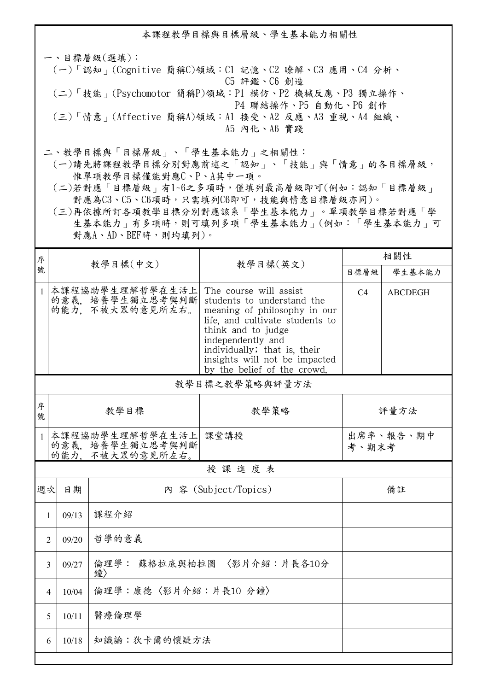本課程教學目標與目標層級、學生基本能力相關性

一、目標層級(選填): (一)「認知」(Cognitive 簡稱C)領域:C1 記憶、C2 瞭解、C3 應用、C4 分析、 C5 評鑑、C6 創造 (二)「技能」(Psychomotor 簡稱P)領域:P1 模仿、P2 機械反應、P3 獨立操作、 P4 聯結操作、P5 自動化、P6 創作 (三)「情意」(Affective 簡稱A)領域:A1 接受、A2 反應、A3 重視、A4 組織、 A5 內化、A6 實踐

二、教學目標與「目標層級」、「學生基本能力」之相關性:

 (一)請先將課程教學目標分別對應前述之「認知」、「技能」與「情意」的各目標層級, 惟單項教學目標僅能對應C、P、A其中一項。

 (二)若對應「目標層級」有1~6之多項時,僅填列最高層級即可(例如:認知「目標層級」 對應為C3、C5、C6項時,只需填列C6即可,技能與情意目標層級亦同)。

 (三)再依據所訂各項教學目標分別對應該系「學生基本能力」。單項教學目標若對應「學 生基本能力」有多項時,則可填列多項「學生基本能力」(例如:「學生基本能力」可 對應A、AD、BEF時,則均填列)。

| 序            | 教學目標(中文)                |                                                        |                                                                                                                                                                                                                                                                    | 相關性                |                |  |  |
|--------------|-------------------------|--------------------------------------------------------|--------------------------------------------------------------------------------------------------------------------------------------------------------------------------------------------------------------------------------------------------------------------|--------------------|----------------|--|--|
| 號            |                         |                                                        | 教學目標(英文)                                                                                                                                                                                                                                                           | 目標層級               | 學生基本能力         |  |  |
| $\mathbf{1}$ |                         | 本課程協助學生理解哲學在生活上<br>的意義, 培養學生獨立思考與判斷<br>的能力、不被大眾的意見所左右。 | The course will assist<br>students to understand the<br>meaning of philosophy in our<br>life, and cultivate students to<br>think and to judge<br>independently and<br>individually; that is, their<br>insights will not be impacted<br>by the belief of the crowd. | C <sub>4</sub>     | <b>ABCDEGH</b> |  |  |
|              | 教學目標之教學策略與評量方法          |                                                        |                                                                                                                                                                                                                                                                    |                    |                |  |  |
| 序<br>號       |                         | 教學策略<br>教學目標<br>評量方法                                   |                                                                                                                                                                                                                                                                    |                    |                |  |  |
| $\mathbf{1}$ |                         | 本課程協助學生理解哲學在生活上<br>的意義、培養學生獨立思考與判斷<br>的能力,不被大眾的意見所左右。  | 課堂講授                                                                                                                                                                                                                                                               | 出席率、報告、期中<br>考、期末考 |                |  |  |
|              | 授課進度表                   |                                                        |                                                                                                                                                                                                                                                                    |                    |                |  |  |
| 週次           | 日期                      |                                                        | 內 容 (Subject/Topics)                                                                                                                                                                                                                                               |                    | 備註             |  |  |
| 1            | 09/13                   | 課程介紹                                                   |                                                                                                                                                                                                                                                                    |                    |                |  |  |
|              | 09/20<br>$\overline{2}$ | 哲學的意義                                                  |                                                                                                                                                                                                                                                                    |                    |                |  |  |
|              | 3<br>09/27              | 倫理學: 蘇格拉底與柏拉圖 〈影片介紹:片長各10分<br>鐘〉                       |                                                                                                                                                                                                                                                                    |                    |                |  |  |
|              | 10/04<br>4              | 倫理學:康德〈影片介紹:片長10分鐘〉                                    |                                                                                                                                                                                                                                                                    |                    |                |  |  |
|              | 10/11<br>5              | 醫療倫理學                                                  |                                                                                                                                                                                                                                                                    |                    |                |  |  |
|              | 10/18<br>6              | 知識論:狄卡爾的懷疑方法                                           |                                                                                                                                                                                                                                                                    |                    |                |  |  |
|              |                         |                                                        |                                                                                                                                                                                                                                                                    |                    |                |  |  |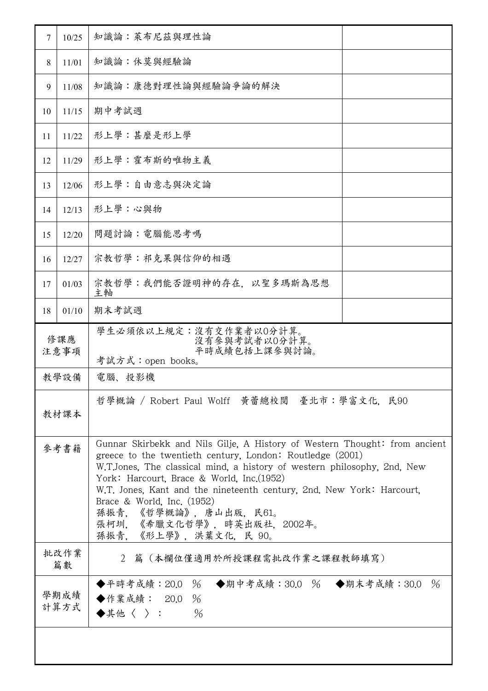| $7\phantom{.0}$                                                                                                                                                                                                                   | 10/25                                                                                       | 知識論:萊布尼茲與理性論                                                                                                                                                                                                                    |  |
|-----------------------------------------------------------------------------------------------------------------------------------------------------------------------------------------------------------------------------------|---------------------------------------------------------------------------------------------|---------------------------------------------------------------------------------------------------------------------------------------------------------------------------------------------------------------------------------|--|
| 8                                                                                                                                                                                                                                 | 11/01                                                                                       | 知識論:休莫與經驗論                                                                                                                                                                                                                      |  |
| 9                                                                                                                                                                                                                                 | 11/08                                                                                       | 知識論:康德對理性論與經驗論爭論的解決                                                                                                                                                                                                             |  |
| 10                                                                                                                                                                                                                                | 11/15                                                                                       | 期中考試週                                                                                                                                                                                                                           |  |
| 11                                                                                                                                                                                                                                | 11/22                                                                                       | 形上學:甚麼是形上學                                                                                                                                                                                                                      |  |
| 12                                                                                                                                                                                                                                | 11/29                                                                                       | 形上學:霍布斯的唯物主義                                                                                                                                                                                                                    |  |
| 13                                                                                                                                                                                                                                | 12/06                                                                                       | 形上學:自由意志與決定論                                                                                                                                                                                                                    |  |
| 14                                                                                                                                                                                                                                | 12/13                                                                                       | 形上學:心與物                                                                                                                                                                                                                         |  |
| 15                                                                                                                                                                                                                                | 12/20                                                                                       | 問題討論:電腦能思考嗎                                                                                                                                                                                                                     |  |
| 16                                                                                                                                                                                                                                | 12/27                                                                                       | 宗教哲學:祁克果與信仰的相遇                                                                                                                                                                                                                  |  |
| 17                                                                                                                                                                                                                                | 01/03                                                                                       | 宗教哲學:我們能否證明神的存在. 以聖多瑪斯為思想<br>主軸                                                                                                                                                                                                 |  |
| 18                                                                                                                                                                                                                                | 01/10                                                                                       | 期末考試週                                                                                                                                                                                                                           |  |
|                                                                                                                                                                                                                                   | 學生必須依以上規定:沒有交作業者以0分計算。<br>修課應<br>沒有參與考試者以0分計算。<br>平時成績包括上課參與討論。<br>注意事項<br>考試方式:open books。 |                                                                                                                                                                                                                                 |  |
|                                                                                                                                                                                                                                   | 教學設備<br>電腦、投影機                                                                              |                                                                                                                                                                                                                                 |  |
| 哲學概論 / Robert Paul Wolff 黃蕾總校閲 臺北市:學富文化. 民90<br>教材課本                                                                                                                                                                              |                                                                                             |                                                                                                                                                                                                                                 |  |
| 參考書籍<br>greece to the twentieth century, London: Routledge $(2001)$<br>York: Harcourt, Brace & World, Inc. (1952)<br>Brace & World, Inc. $(1952)$<br>孫振青,《哲學概論》,唐山出版,民61。<br>張柯圳,《希臘文化哲學》,時英出版社,2002年。<br>孫振青, 《形上學》, 洪葉文化, 民 90。 |                                                                                             | Gunnar Skirbekk and Nils Gilje, A History of Western Thought: from ancient<br>W.T.Jones, The classical mind, a history of western philosophy, 2nd, New<br>W.T. Jones, Kant and the nineteenth century, 2nd. New York: Harcourt, |  |
|                                                                                                                                                                                                                                   | 批改作業<br>2 篇 (本欄位僅適用於所授課程需批改作業之課程教師填寫)<br>篇數                                                 |                                                                                                                                                                                                                                 |  |
| ◆平時考成績:20.0 % ◆期中考成績:30.0 % ◆期末考成績:30.0<br>學期成績<br>◆作業成績: 20.0 %<br>計算方式<br>$\blacklozenge$ 其他〈 〉 :<br>$\frac{0}{6}$                                                                                                              |                                                                                             |                                                                                                                                                                                                                                 |  |
|                                                                                                                                                                                                                                   |                                                                                             |                                                                                                                                                                                                                                 |  |